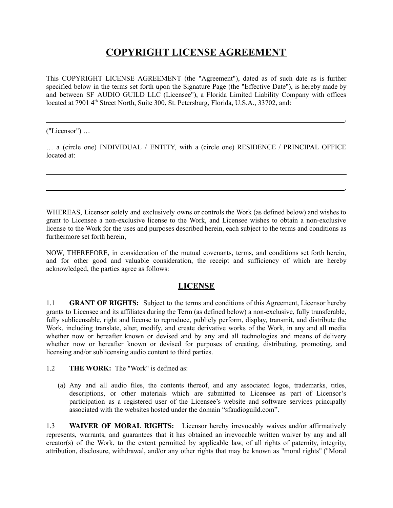# **COPYRIGHT LICENSE AGREEMENT**

This COPYRIGHT LICENSE AGREEMENT (the "Agreement"), dated as of such date as is further specified below in the terms set forth upon the Signature Page (the "Effective Date"), is hereby made by and between SF AUDIO GUILD LLC (Licensee"), a Florida Limited Liability Company with offices located at 7901 4<sup>th</sup> Street North, Suite 300, St. Petersburg, Florida, U.S.A., 33702, and:

,

.

("Licensor") …

… a (circle one) INDIVIDUAL / ENTITY, with a (circle one) RESIDENCE / PRINCIPAL OFFICE located at:

WHEREAS, Licensor solely and exclusively owns or controls the Work (as defined below) and wishes to grant to Licensee a non-exclusive license to the Work, and Licensee wishes to obtain a non-exclusive license to the Work for the uses and purposes described herein, each subject to the terms and conditions as furthermore set forth herein,

NOW, THEREFORE, in consideration of the mutual covenants, terms, and conditions set forth herein, and for other good and valuable consideration, the receipt and sufficiency of which are hereby acknowledged, the parties agree as follows:

#### **LICENSE**

1.1 **GRANT OF RIGHTS:** Subject to the terms and conditions of this Agreement, Licensor hereby grants to Licensee and its affiliates during the Term (as defined below) a non-exclusive, fully transferable, fully sublicensable, right and license to reproduce, publicly perform, display, transmit, and distribute the Work, including translate, alter, modify, and create derivative works of the Work, in any and all media whether now or hereafter known or devised and by any and all technologies and means of delivery whether now or hereafter known or devised for purposes of creating, distributing, promoting, and licensing and/or sublicensing audio content to third parties.

1.2 **THE WORK:** The "Work" is defined as:

(a) Any and all audio files, the contents thereof, and any associated logos, trademarks, titles, descriptions, or other materials which are submitted to Licensee as part of Licensor's participation as a registered user of the Licensee's website and software services principally associated with the websites hosted under the domain "sfaudioguild.com".

1.3 **WAIVER OF MORAL RIGHTS:** Licensor hereby irrevocably waives and/or affirmatively represents, warrants, and guarantees that it has obtained an irrevocable written waiver by any and all creator(s) of the Work, to the extent permitted by applicable law, of all rights of paternity, integrity, attribution, disclosure, withdrawal, and/or any other rights that may be known as "moral rights" ("Moral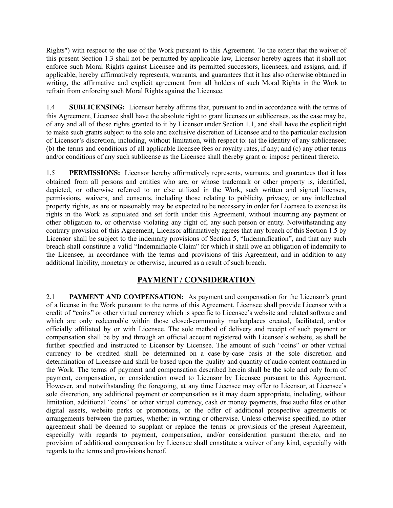Rights") with respect to the use of the Work pursuant to this Agreement. To the extent that the waiver of this present Section 1.3 shall not be permitted by applicable law, Licensor hereby agrees that it shall not enforce such Moral Rights against Licensee and its permitted successors, licensees, and assigns, and, if applicable, hereby affirmatively represents, warrants, and guarantees that it has also otherwise obtained in writing, the affirmative and explicit agreement from all holders of such Moral Rights in the Work to refrain from enforcing such Moral Rights against the Licensee.

1.4 **SUBLICENSING:** Licensor hereby affirms that, pursuant to and in accordance with the terms of this Agreement, Licensee shall have the absolute right to grant licenses or sublicenses, as the case may be, of any and all of those rights granted to it by Licensor under Section 1.1, and shall have the explicit right to make such grants subject to the sole and exclusive discretion of Licensee and to the particular exclusion of Licensor's discretion, including, without limitation, with respect to: (a) the identity of any sublicensee; (b) the terms and conditions of all applicable licensee fees or royalty rates, if any; and (c) any other terms and/or conditions of any such sublicense as the Licensee shall thereby grant or impose pertinent thereto.

1.5 **PERMISSIONS:** Licensor hereby affirmatively represents, warrants, and guarantees that it has obtained from all persons and entities who are, or whose trademark or other property is, identified, depicted, or otherwise referred to or else utilized in the Work, such written and signed licenses, permissions, waivers, and consents, including those relating to publicity, privacy, or any intellectual property rights, as are or reasonably may be expected to be necessary in order for Licensee to exercise its rights in the Work as stipulated and set forth under this Agreement, without incurring any payment or other obligation to, or otherwise violating any right of, any such person or entity. Notwithstanding any contrary provision of this Agreement, Licensor affirmatively agrees that any breach of this Section 1.5 by Licensor shall be subject to the indemnity provisions of Section 5, "Indemnification", and that any such breach shall constitute a valid "Indemnifiable Claim" for which it shall owe an obligation of indemnity to the Licensee, in accordance with the terms and provisions of this Agreement, and in addition to any additional liability, monetary or otherwise, incurred as a result of such breach.

#### **PAYMENT / CONSIDERATION**

2.1 **PAYMENT AND COMPENSATION:** As payment and compensation for the Licensor's grant of a license in the Work pursuant to the terms of this Agreement, Licensee shall provide Licensor with a credit of "coins" or other virtual currency which is specific to Licensee's website and related software and which are only redeemable within those closed-community marketplaces created, facilitated, and/or officially affiliated by or with Licensee. The sole method of delivery and receipt of such payment or compensation shall be by and through an official account registered with Licensee's website, as shall be further specified and instructed to Licensor by Licensee. The amount of such "coins" or other virtual currency to be credited shall be determined on a case-by-case basis at the sole discretion and determination of Licensee and shall be based upon the quality and quantity of audio content contained in the Work. The terms of payment and compensation described herein shall be the sole and only form of payment, compensation, or consideration owed to Licensor by Licensee pursuant to this Agreement. However, and notwithstanding the foregoing, at any time Licensee may offer to Licensor, at Licensee's sole discretion, any additional payment or compensation as it may deem appropriate, including, without limitation, additional "coins" or other virtual currency, cash or money payments, free audio files or other digital assets, website perks or promotions, or the offer of additional prospective agreements or arrangements between the parties, whether in writing or otherwise. Unless otherwise specified, no other agreement shall be deemed to supplant or replace the terms or provisions of the present Agreement, especially with regards to payment, compensation, and/or consideration pursuant thereto, and no provision of additional compensation by Licensee shall constitute a waiver of any kind, especially with regards to the terms and provisions hereof.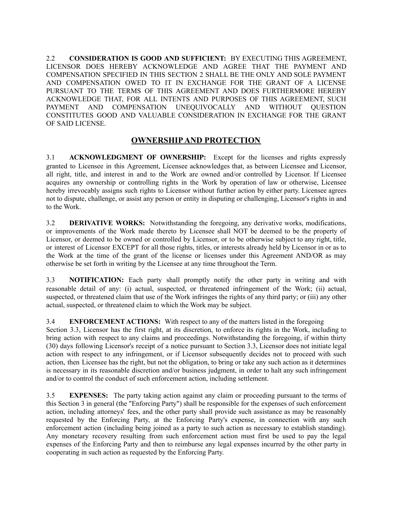2.2 **CONSIDERATION IS GOOD AND SUFFICIENT:** BY EXECUTING THIS AGREEMENT, LICENSOR DOES HEREBY ACKNOWLEDGE AND AGREE THAT THE PAYMENT AND COMPENSATION SPECIFIED IN THIS SECTION 2 SHALL BE THE ONLY AND SOLE PAYMENT AND COMPENSATION OWED TO IT IN EXCHANGE FOR THE GRANT OF A LICENSE PURSUANT TO THE TERMS OF THIS AGREEMENT AND DOES FURTHERMORE HEREBY ACKNOWLEDGE THAT, FOR ALL INTENTS AND PURPOSES OF THIS AGREEMENT, SUCH PAYMENT AND COMPENSATION UNEQUIVOCALLY AND WITHOUT QUESTION CONSTITUTES GOOD AND VALUABLE CONSIDERATION IN EXCHANGE FOR THE GRANT OF SAID LICENSE.

#### **OWNERSHIPAND PROTECTION**

3.1 **ACKNOWLEDGMENT OF OWNERSHIP:** Except for the licenses and rights expressly granted to Licensee in this Agreement, Licensee acknowledges that, as between Licensee and Licensor, all right, title, and interest in and to the Work are owned and/or controlled by Licensor. If Licensee acquires any ownership or controlling rights in the Work by operation of law or otherwise, Licensee hereby irrevocably assigns such rights to Licensor without further action by either party. Licensee agrees not to dispute, challenge, or assist any person or entity in disputing or challenging, Licensor's rights in and to the Work.

3.2 **DERIVATIVE WORKS:** Notwithstanding the foregoing, any derivative works, modifications, or improvements of the Work made thereto by Licensee shall NOT be deemed to be the property of Licensor, or deemed to be owned or controlled by Licensor, or to be otherwise subject to any right, title, or interest of Licensor EXCEPT for all those rights, titles, or interests already held by Licensor in or as to the Work at the time of the grant of the license or licenses under this Agreement AND/OR as may otherwise be set forth in writing by the Licensee at any time throughout the Term.

3.3 **NOTIFICATION:** Each party shall promptly notify the other party in writing and with reasonable detail of any: (i) actual, suspected, or threatened infringement of the Work; (ii) actual, suspected, or threatened claim that use of the Work infringes the rights of any third party; or (iii) any other actual, suspected, or threatened claim to which the Work may be subject.

#### 3.4 **ENFORCEMENT ACTIONS:** With respect to any of the matters listed in the foregoing

Section 3.3, Licensor has the first right, at its discretion, to enforce its rights in the Work, including to bring action with respect to any claims and proceedings. Notwithstanding the foregoing, if within thirty (30) days following Licensor's receipt of a notice pursuant to Section 3.3, Licensor does not initiate legal action with respect to any infringement, or if Licensor subsequently decides not to proceed with such action, then Licensee has the right, but not the obligation, to bring or take any such action as it determines is necessary in its reasonable discretion and/or business judgment, in order to halt any such infringement and/or to control the conduct of such enforcement action, including settlement.

3.5 **EXPENSES:** The party taking action against any claim or proceeding pursuant to the terms of this Section 3 in general (the "Enforcing Party") shall be responsible for the expenses of such enforcement action, including attorneys' fees, and the other party shall provide such assistance as may be reasonably requested by the Enforcing Party, at the Enforcing Party's expense, in connection with any such enforcement action (including being joined as a party to such action as necessary to establish standing). Any monetary recovery resulting from such enforcement action must first be used to pay the legal expenses of the Enforcing Party and then to reimburse any legal expenses incurred by the other party in cooperating in such action as requested by the Enforcing Party.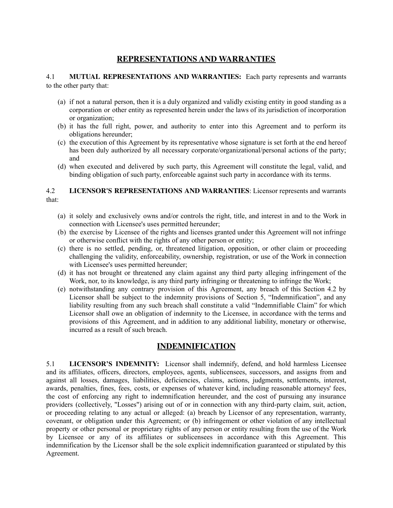## **REPRESENTATIONS AND WARRANTIES**

4.1 **MUTUAL REPRESENTATIONS AND WARRANTIES:** Each party represents and warrants to the other party that:

- (a) if not a natural person, then it is a duly organized and validly existing entity in good standing as a corporation or other entity as represented herein under the laws of its jurisdiction of incorporation or organization;
- (b) it has the full right, power, and authority to enter into this Agreement and to perform its obligations hereunder;
- (c) the execution of this Agreement by its representative whose signature is set forth at the end hereof has been duly authorized by all necessary corporate/organizational/personal actions of the party; and
- (d) when executed and delivered by such party, this Agreement will constitute the legal, valid, and binding obligation of such party, enforceable against such party in accordance with its terms.

#### 4.2 **LICENSOR'S REPRESENTATIONS AND WARRANTIES**: Licensor represents and warrants that:

- (a) it solely and exclusively owns and/or controls the right, title, and interest in and to the Work in connection with Licensee's uses permitted hereunder;
- (b) the exercise by Licensee of the rights and licenses granted under this Agreement will not infringe or otherwise conflict with the rights of any other person or entity;
- (c) there is no settled, pending, or, threatened litigation, opposition, or other claim or proceeding challenging the validity, enforceability, ownership, registration, or use of the Work in connection with Licensee's uses permitted hereunder;
- (d) it has not brought or threatened any claim against any third party alleging infringement of the Work, nor, to its knowledge, is any third party infringing or threatening to infringe the Work;
- (e) notwithstanding any contrary provision of this Agreement, any breach of this Section 4.2 by Licensor shall be subject to the indemnity provisions of Section 5, "Indemnification", and any liability resulting from any such breach shall constitute a valid "Indemnifiable Claim" for which Licensor shall owe an obligation of indemnity to the Licensee, in accordance with the terms and provisions of this Agreement, and in addition to any additional liability, monetary or otherwise, incurred as a result of such breach.

#### **INDEMNIFICATION**

5.1 **LICENSOR'S INDEMNITY:** Licensor shall indemnify, defend, and hold harmless Licensee and its affiliates, officers, directors, employees, agents, sublicensees, successors, and assigns from and against all losses, damages, liabilities, deficiencies, claims, actions, judgments, settlements, interest, awards, penalties, fines, fees, costs, or expenses of whatever kind, including reasonable attorneys' fees, the cost of enforcing any right to indemnification hereunder, and the cost of pursuing any insurance providers (collectively, "Losses") arising out of or in connection with any third-party claim, suit, action, or proceeding relating to any actual or alleged: (a) breach by Licensor of any representation, warranty, covenant, or obligation under this Agreement; or (b) infringement or other violation of any intellectual property or other personal or proprietary rights of any person or entity resulting from the use of the Work by Licensee or any of its affiliates or sublicensees in accordance with this Agreement. This indemnification by the Licensor shall be the sole explicit indemnification guaranteed or stipulated by this Agreement.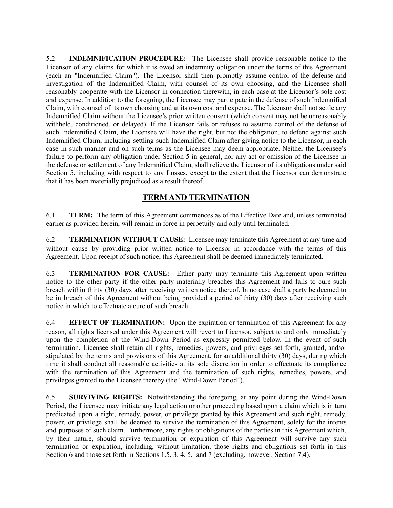5.2 **INDEMNIFICATION PROCEDURE:** The Licensee shall provide reasonable notice to the Licensor of any claims for which it is owed an indemnity obligation under the terms of this Agreement (each an "Indemnified Claim"). The Licensor shall then promptly assume control of the defense and investigation of the Indemnified Claim, with counsel of its own choosing, and the Licensee shall reasonably cooperate with the Licensor in connection therewith, in each case at the Licensor's sole cost and expense. In addition to the foregoing, the Licensee may participate in the defense of such Indemnified Claim, with counsel of its own choosing and at its own cost and expense. The Licensor shall not settle any Indemnified Claim without the Licensee's prior written consent (which consent may not be unreasonably withheld, conditioned, or delayed). If the Licensor fails or refuses to assume control of the defense of such Indemnified Claim, the Licensee will have the right, but not the obligation, to defend against such Indemnified Claim, including settling such Indemnified Claim after giving notice to the Licensor, in each case in such manner and on such terms as the Licensee may deem appropriate. Neither the Licensee's failure to perform any obligation under Section 5 in general, nor any act or omission of the Licensee in the defense or settlement of any Indemnified Claim, shall relieve the Licensor of its obligations under said Section 5, including with respect to any Losses, except to the extent that the Licensor can demonstrate that it has been materially prejudiced as a result thereof.

## **TERM AND TERMINATION**

6.1 **TERM:** The term of this Agreement commences as of the Effective Date and, unless terminated earlier as provided herein, will remain in force in perpetuity and only until terminated.

6.2 **TERMINATION WITHOUT CAUSE:** Licensee may terminate this Agreement at any time and without cause by providing prior written notice to Licensor in accordance with the terms of this Agreement. Upon receipt of such notice, this Agreement shall be deemed immediately terminated.

6.3 **TERMINATION FOR CAUSE:** Either party may terminate this Agreement upon written notice to the other party if the other party materially breaches this Agreement and fails to cure such breach within thirty (30) days after receiving written notice thereof. In no case shall a party be deemed to be in breach of this Agreement without being provided a period of thirty (30) days after receiving such notice in which to effectuate a cure of such breach.

6.4 **EFFECT OF TERMINATION:** Upon the expiration or termination of this Agreement for any reason, all rights licensed under this Agreement will revert to Licensor, subject to and only immediately upon the completion of the Wind-Down Period as expressly permitted below. In the event of such termination, Licensee shall retain all rights, remedies, powers, and privileges set forth, granted, and/or stipulated by the terms and provisions of this Agreement, for an additional thirty (30) days, during which time it shall conduct all reasonable activities at its sole discretion in order to effectuate its compliance with the termination of this Agreement and the termination of such rights, remedies, powers, and privileges granted to the Licensee thereby (the "Wind-Down Period").

6.5 **SURVIVING RIGHTS:** Notwithstanding the foregoing, at any point during the Wind-Down Period, the Licensee may initiate any legal action or other proceeding based upon a claim which is in turn predicated upon a right, remedy, power, or privilege granted by this Agreement and such right, remedy, power, or privilege shall be deemed to survive the termination of this Agreement, solely for the intents and purposes of such claim. Furthermore, any rights or obligations of the parties in this Agreement which, by their nature, should survive termination or expiration of this Agreement will survive any such termination or expiration, including, without limitation, those rights and obligations set forth in this Section 6 and those set forth in Sections 1.5, 3, 4, 5, and 7 (excluding, however, Section 7.4).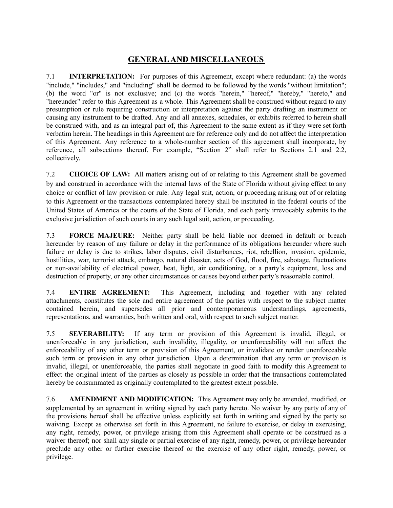## **GENERALAND MISCELLANEOUS**

7.1 **INTERPRETATION:** For purposes of this Agreement, except where redundant: (a) the words "include," "includes," and "including" shall be deemed to be followed by the words "without limitation"; (b) the word "or" is not exclusive; and (c) the words "herein," "hereof," "hereby," "hereto," and "hereunder" refer to this Agreement as a whole. This Agreement shall be construed without regard to any presumption or rule requiring construction or interpretation against the party drafting an instrument or causing any instrument to be drafted. Any and all annexes, schedules, or exhibits referred to herein shall be construed with, and as an integral part of, this Agreement to the same extent as if they were set forth verbatim herein. The headings in this Agreement are for reference only and do not affect the interpretation of this Agreement. Any reference to a whole-number section of this agreement shall incorporate, by reference, all subsections thereof. For example, "Section 2" shall refer to Sections 2.1 and 2.2, collectively.

7.2 **CHOICE OF LAW:** All matters arising out of or relating to this Agreement shall be governed by and construed in accordance with the internal laws of the State of Florida without giving effect to any choice or conflict of law provision or rule. Any legal suit, action, or proceeding arising out of or relating to this Agreement or the transactions contemplated hereby shall be instituted in the federal courts of the United States of America or the courts of the State of Florida, and each party irrevocably submits to the exclusive jurisdiction of such courts in any such legal suit, action, or proceeding.

7.3 **FORCE MAJEURE:** Neither party shall be held liable nor deemed in default or breach hereunder by reason of any failure or delay in the performance of its obligations hereunder where such failure or delay is due to strikes, labor disputes, civil disturbances, riot, rebellion, invasion, epidemic, hostilities, war, terrorist attack, embargo, natural disaster, acts of God, flood, fire, sabotage, fluctuations or non-availability of electrical power, heat, light, air conditioning, or a party's equipment, loss and destruction of property, or any other circumstances or causes beyond either party's reasonable control.

7.4 **ENTIRE AGREEMENT:** This Agreement, including and together with any related attachments, constitutes the sole and entire agreement of the parties with respect to the subject matter contained herein, and supersedes all prior and contemporaneous understandings, agreements, representations, and warranties, both written and oral, with respect to such subject matter.

7.5 **SEVERABILITY:** If any term or provision of this Agreement is invalid, illegal, or unenforceable in any jurisdiction, such invalidity, illegality, or unenforceability will not affect the enforceability of any other term or provision of this Agreement, or invalidate or render unenforceable such term or provision in any other jurisdiction. Upon a determination that any term or provision is invalid, illegal, or unenforceable, the parties shall negotiate in good faith to modify this Agreement to effect the original intent of the parties as closely as possible in order that the transactions contemplated hereby be consummated as originally contemplated to the greatest extent possible.

7.6 **AMENDMENT AND MODIFICATION:** This Agreement may only be amended, modified, or supplemented by an agreement in writing signed by each party hereto. No waiver by any party of any of the provisions hereof shall be effective unless explicitly set forth in writing and signed by the party so waiving. Except as otherwise set forth in this Agreement, no failure to exercise, or delay in exercising, any right, remedy, power, or privilege arising from this Agreement shall operate or be construed as a waiver thereof; nor shall any single or partial exercise of any right, remedy, power, or privilege hereunder preclude any other or further exercise thereof or the exercise of any other right, remedy, power, or privilege.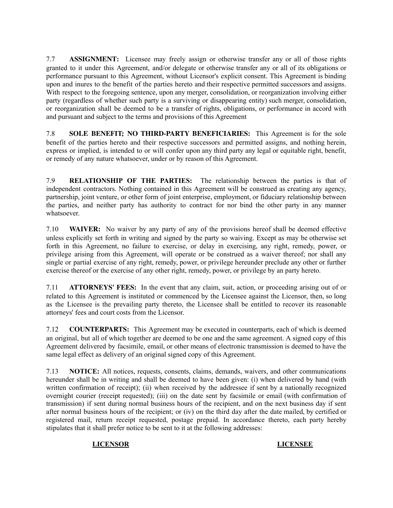7.7 **ASSIGNMENT:** Licensee may freely assign or otherwise transfer any or all of those rights granted to it under this Agreement, and/or delegate or otherwise transfer any or all of its obligations or performance pursuant to this Agreement, without Licensor's explicit consent. This Agreement is binding upon and inures to the benefit of the parties hereto and their respective permitted successors and assigns. With respect to the foregoing sentence, upon any merger, consolidation, or reorganization involving either party (regardless of whether such party is a surviving or disappearing entity) such merger, consolidation, or reorganization shall be deemed to be a transfer of rights, obligations, or performance in accord with and pursuant and subject to the terms and provisions of this Agreement

7.8 **SOLE BENEFIT; NO THIRD-PARTY BENEFICIARIES:** This Agreement is for the sole benefit of the parties hereto and their respective successors and permitted assigns, and nothing herein, express or implied, is intended to or will confer upon any third party any legal or equitable right, benefit, or remedy of any nature whatsoever, under or by reason of this Agreement.

7.9 **RELATIONSHIP OF THE PARTIES:** The relationship between the parties is that of independent contractors. Nothing contained in this Agreement will be construed as creating any agency, partnership, joint venture, or other form of joint enterprise, employment, or fiduciary relationship between the parties, and neither party has authority to contract for nor bind the other party in any manner whatsoever.

7.10 **WAIVER:** No waiver by any party of any of the provisions hereof shall be deemed effective unless explicitly set forth in writing and signed by the party so waiving. Except as may be otherwise set forth in this Agreement, no failure to exercise, or delay in exercising, any right, remedy, power, or privilege arising from this Agreement, will operate or be construed as a waiver thereof; nor shall any single or partial exercise of any right, remedy, power, or privilege hereunder preclude any other or further exercise thereof or the exercise of any other right, remedy, power, or privilege by an party hereto.

7.11 **ATTORNEYS' FEES:** In the event that any claim, suit, action, or proceeding arising out of or related to this Agreement is instituted or commenced by the Licensee against the Licensor, then, so long as the Licensee is the prevailing party thereto, the Licensee shall be entitled to recover its reasonable attorneys' fees and court costs from the Licensor.

7.12 **COUNTERPARTS:** This Agreement may be executed in counterparts, each of which is deemed an original, but all of which together are deemed to be one and the same agreement. A signed copy of this Agreement delivered by facsimile, email, or other means of electronic transmission is deemed to have the same legal effect as delivery of an original signed copy of this Agreement.

7.13 **NOTICE:** All notices, requests, consents, claims, demands, waivers, and other communications hereunder shall be in writing and shall be deemed to have been given: (i) when delivered by hand (with written confirmation of receipt); (ii) when received by the addressee if sent by a nationally recognized overnight courier (receipt requested); (iii) on the date sent by facsimile or email (with confirmation of transmission) if sent during normal business hours of the recipient, and on the next business day if sent after normal business hours of the recipient; or (iv) on the third day after the date mailed, by certified or registered mail, return receipt requested, postage prepaid. In accordance thereto, each party hereby stipulates that it shall prefer notice to be sent to it at the following addresses:

#### **LICENSOR LICENSEE**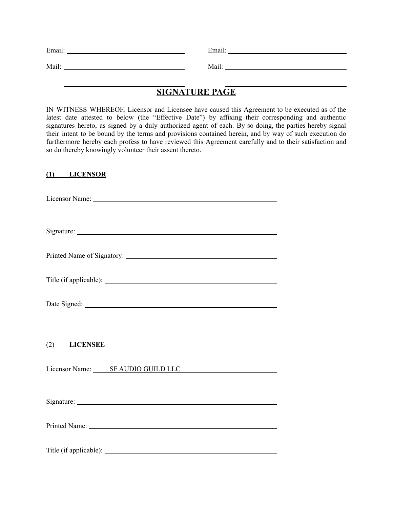| F <sub>ma1</sub> | $\cdot$ .<br>Email. |
|------------------|---------------------|
|                  |                     |
| Mail:            | Mail:               |

## **SIGNATURE PAGE**

IN WITNESS WHEREOF, Licensor and Licensee have caused this Agreement to be executed as of the latest date attested to below (the "Effective Date") by affixing their corresponding and authentic signatures hereto, as signed by a duly authorized agent of each. By so doing, the parties hereby signal their intent to be bound by the terms and provisions contained herein, and by way of such execution do furthermore hereby each profess to have reviewed this Agreement carefully and to their satisfaction and so do thereby knowingly volunteer their assent thereto.

#### **(1) LICENSOR**

Licensor Name:

Signature:

Printed Name of Signatory: 2002. The state of Signatory:

Title (if applicable):

Date Signed:

(2) **LICENSEE**

Licensor Name: SF AUDIO GUILD LLC

Signature:

Printed Name: 1988. The Contract of the Contract of the Contract of the Contract of the Contract of the Contract of the Contract of the Contract of the Contract of the Contract of the Contract of the Contract of the Contra

Title (if applicable):